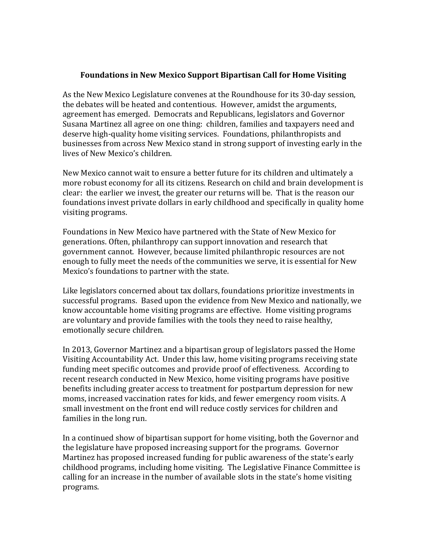## **Foundations in New Mexico Support Bipartisan Call for Home Visiting**

As the New Mexico Legislature convenes at the Roundhouse for its 30-day session, the debates will be heated and contentious. However, amidst the arguments, agreement has emerged. Democrats and Republicans, legislators and Governor Susana Martinez all agree on one thing: children, families and taxpayers need and deserve high-quality home visiting services. Foundations, philanthropists and businesses from across New Mexico stand in strong support of investing early in the lives of New Mexico's children.

New Mexico cannot wait to ensure a better future for its children and ultimately a more robust economy for all its citizens. Research on child and brain development is clear: the earlier we invest, the greater our returns will be. That is the reason our foundations invest private dollars in early childhood and specifically in quality home visiting programs.

Foundations in New Mexico have partnered with the State of New Mexico for generations. Often, philanthropy can support innovation and research that government cannot. However, because limited philanthropic resources are not enough to fully meet the needs of the communities we serve, it is essential for New Mexico's foundations to partner with the state.

Like legislators concerned about tax dollars, foundations prioritize investments in successful programs. Based upon the evidence from New Mexico and nationally, we know accountable home visiting programs are effective. Home visiting programs are voluntary and provide families with the tools they need to raise healthy, emotionally secure children.

In 2013, Governor Martinez and a bipartisan group of legislators passed the Home Visiting Accountability Act. Under this law, home visiting programs receiving state funding meet specific outcomes and provide proof of effectiveness. According to recent research conducted in New Mexico, home visiting programs have positive benefits including greater access to treatment for postpartum depression for new moms, increased vaccination rates for kids, and fewer emergency room visits. A small investment on the front end will reduce costly services for children and families in the long run.

In a continued show of bipartisan support for home visiting, both the Governor and the legislature have proposed increasing support for the programs. Governor Martinez has proposed increased funding for public awareness of the state's early childhood programs, including home visiting. The Legislative Finance Committee is calling for an increase in the number of available slots in the state's home visiting programs.